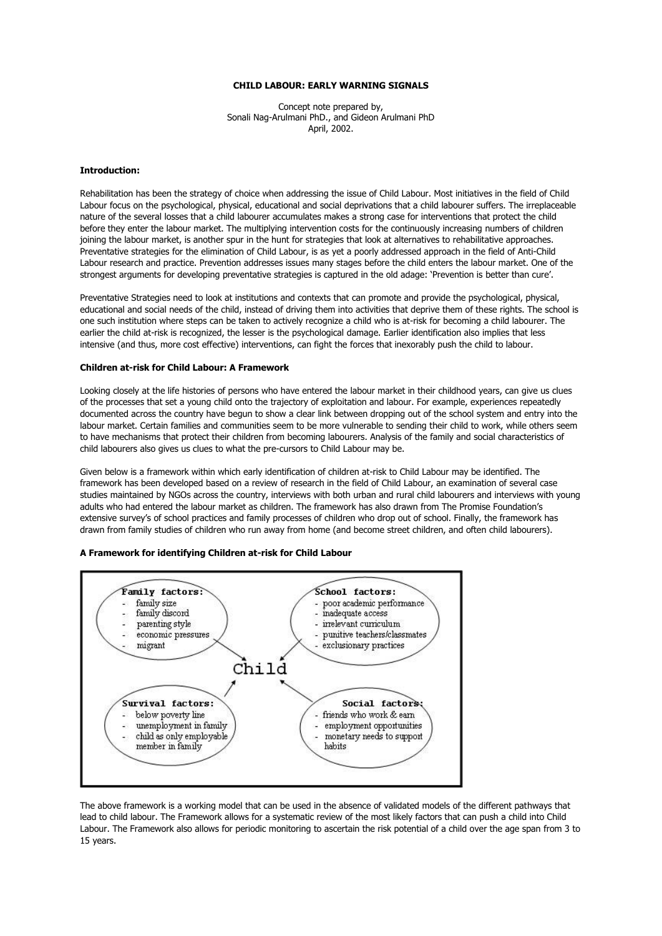#### **CHILD LABOUR: EARLY WARNING SIGNALS**

Concept note prepared by, Sonali Nag-Arulmani PhD., and Gideon Arulmani PhD April, 2002.

# **Introduction:**

Rehabilitation has been the strategy of choice when addressing the issue of Child Labour. Most initiatives in the field of Child Labour focus on the psychological, physical, educational and social deprivations that a child labourer suffers. The irreplaceable nature of the several losses that a child labourer accumulates makes a strong case for interventions that protect the child before they enter the labour market. The multiplying intervention costs for the continuously increasing numbers of children joining the labour market, is another spur in the hunt for strategies that look at alternatives to rehabilitative approaches. Preventative strategies for the elimination of Child Labour, is as yet a poorly addressed approach in the field of Anti-Child Labour research and practice. Prevention addresses issues many stages before the child enters the labour market. One of the strongest arguments for developing preventative strategies is captured in the old adage: 'Prevention is better than cure'.

Preventative Strategies need to look at institutions and contexts that can promote and provide the psychological, physical, educational and social needs of the child, instead of driving them into activities that deprive them of these rights. The school is one such institution where steps can be taken to actively recognize a child who is at-risk for becoming a child labourer. The earlier the child at-risk is recognized, the lesser is the psychological damage. Earlier identification also implies that less intensive (and thus, more cost effective) interventions, can fight the forces that inexorably push the child to labour.

#### **Children at-risk for Child Labour: A Framework**

Looking closely at the life histories of persons who have entered the labour market in their childhood years, can give us clues of the processes that set a young child onto the trajectory of exploitation and labour. For example, experiences repeatedly documented across the country have begun to show a clear link between dropping out of the school system and entry into the labour market. Certain families and communities seem to be more vulnerable to sending their child to work, while others seem to have mechanisms that protect their children from becoming labourers. Analysis of the family and social characteristics of child labourers also gives us clues to what the pre-cursors to Child Labour may be.

Given below is a framework within which early identification of children at-risk to Child Labour may be identified. The framework has been developed based on a review of research in the field of Child Labour, an examination of several case studies maintained by NGOs across the country, interviews with both urban and rural child labourers and interviews with young adults who had entered the labour market as children. The framework has also drawn from The Promise Foundation's extensive survey's of school practices and family processes of children who drop out of school. Finally, the framework has drawn from family studies of children who run away from home (and become street children, and often child labourers).

# **A Framework for identifying Children at-risk for Child Labour**



The above framework is a working model that can be used in the absence of validated models of the different pathways that lead to child labour. The Framework allows for a systematic review of the most likely factors that can push a child into Child Labour. The Framework also allows for periodic monitoring to ascertain the risk potential of a child over the age span from 3 to 15 years.